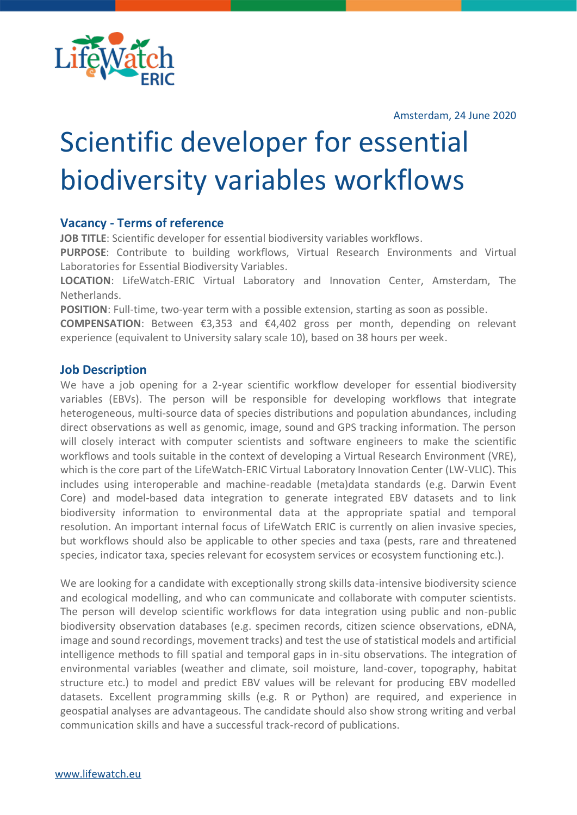

Amsterdam, 24 June 2020

# Scientific developer for essential biodiversity variables workflows

## **Vacancy - Terms of reference**

**JOB TITLE**: Scientific developer for essential biodiversity variables workflows.

**PURPOSE**: Contribute to building workflows, Virtual Research Environments and Virtual Laboratories for Essential Biodiversity Variables.

**LOCATION**: LifeWatch-ERIC Virtual Laboratory and Innovation Center, Amsterdam, The Netherlands.

**POSITION**: Full-time, two-year term with a possible extension, starting as soon as possible.

**COMPENSATION**: Between €3,353 and €4,402 gross per month, depending on relevant experience (equivalent to University salary scale 10), based on 38 hours per week.

### **Job Description**

We have a job opening for a 2-year scientific workflow developer for essential biodiversity variables (EBVs). The person will be responsible for developing workflows that integrate heterogeneous, multi-source data of species distributions and population abundances, including direct observations as well as genomic, image, sound and GPS tracking information. The person will closely interact with computer scientists and software engineers to make the scientific workflows and tools suitable in the context of developing a Virtual Research Environment (VRE), which is the core part of the LifeWatch-ERIC Virtual Laboratory Innovation Center (LW-VLIC). This includes using interoperable and machine-readable (meta)data standards (e.g. Darwin Event Core) and model-based data integration to generate integrated EBV datasets and to link biodiversity information to environmental data at the appropriate spatial and temporal resolution. An important internal focus of LifeWatch ERIC is currently on alien invasive species, but workflows should also be applicable to other species and taxa (pests, rare and threatened species, indicator taxa, species relevant for ecosystem services or ecosystem functioning etc.).

We are looking for a candidate with exceptionally strong skills data-intensive biodiversity science and ecological modelling, and who can communicate and collaborate with computer scientists. The person will develop scientific workflows for data integration using public and non-public biodiversity observation databases (e.g. specimen records, citizen science observations, eDNA, image and sound recordings, movement tracks) and test the use of statistical models and artificial intelligence methods to fill spatial and temporal gaps in in-situ observations. The integration of environmental variables (weather and climate, soil moisture, land-cover, topography, habitat structure etc.) to model and predict EBV values will be relevant for producing EBV modelled datasets. Excellent programming skills (e.g. R or Python) are required, and experience in geospatial analyses are advantageous. The candidate should also show strong writing and verbal communication skills and have a successful track-record of publications.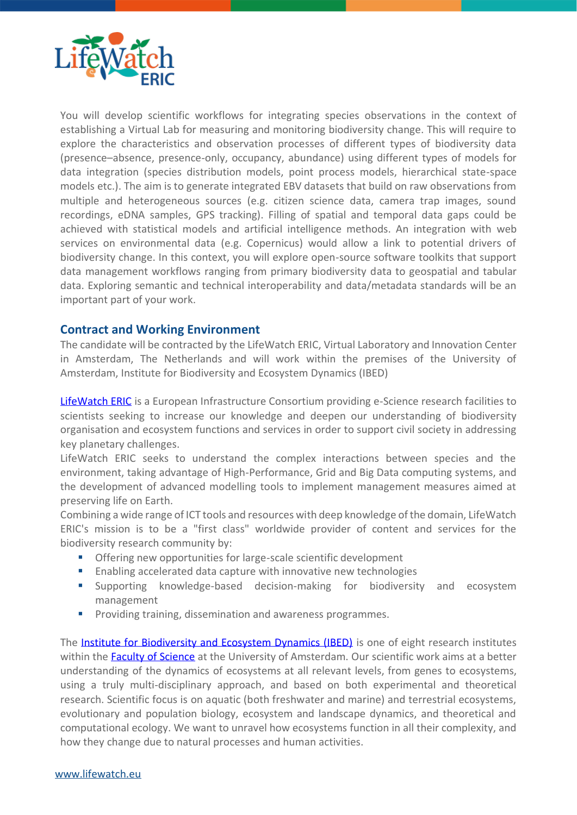

You will develop scientific workflows for integrating species observations in the context of establishing a Virtual Lab for measuring and monitoring biodiversity change. This will require to explore the characteristics and observation processes of different types of biodiversity data (presence–absence, presence-only, occupancy, abundance) using different types of models for data integration (species distribution models, point process models, hierarchical state-space models etc.). The aim is to generate integrated EBV datasets that build on raw observations from multiple and heterogeneous sources (e.g. citizen science data, camera trap images, sound recordings, eDNA samples, GPS tracking). Filling of spatial and temporal data gaps could be achieved with statistical models and artificial intelligence methods. An integration with web services on environmental data (e.g. Copernicus) would allow a link to potential drivers of biodiversity change. In this context, you will explore open-source software toolkits that support data management workflows ranging from primary biodiversity data to geospatial and tabular data. Exploring semantic and technical interoperability and data/metadata standards will be an important part of your work.

## **Contract and Working Environment**

The candidate will be contracted by the LifeWatch ERIC, Virtual Laboratory and Innovation Center in Amsterdam, The Netherlands and will work within the premises of the University of Amsterdam, Institute for Biodiversity and Ecosystem Dynamics (IBED)

[LifeWatch ERIC](http://www.lifewatch.eu/) is a European Infrastructure Consortium providing e-Science research facilities to scientists seeking to increase our knowledge and deepen our understanding of biodiversity organisation and ecosystem functions and services in order to support civil society in addressing key planetary challenges.

LifeWatch ERIC seeks to understand the complex interactions between species and the environment, taking advantage of High-Performance, Grid and Big Data computing systems, and the development of advanced modelling tools to implement management measures aimed at preserving life on Earth.

Combining a wide range of ICT tools and resources with deep knowledge of the domain, LifeWatch ERIC's mission is to be a "first class" worldwide provider of content and services for the biodiversity research community by:

- Offering new opportunities for large-scale scientific development
- Enabling accelerated data capture with innovative new technologies
- Supporting knowledge-based decision-making for biodiversity and ecosystem management
- Providing training, dissemination and awareness programmes.

The **[Institute for Biodiversity and Ecosystem Dynamics \(IBED\)](http://ibed.uva.nl/)** is one of eight research institutes within the **Faculty of Science** at the University of Amsterdam. Our scientific work aims at a better understanding of the dynamics of ecosystems at all relevant levels, from genes to ecosystems, using a truly multi-disciplinary approach, and based on both experimental and theoretical research. Scientific focus is on aquatic (both freshwater and marine) and terrestrial ecosystems, evolutionary and population biology, ecosystem and landscape dynamics, and theoretical and computational ecology. We want to unravel how ecosystems function in all their complexity, and how they change due to natural processes and human activities.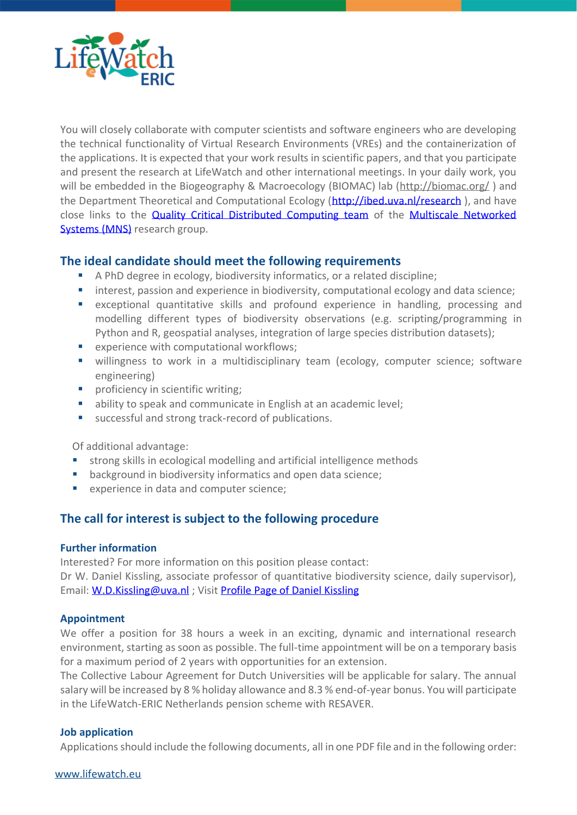

You will closely collaborate with computer scientists and software engineers who are developing the technical functionality of Virtual Research Environments (VREs) and the containerization of the applications. It is expected that your work results in scientific papers, and that you participate and present the research at LifeWatch and other international meetings. In your daily work, you will be embedded in the Biogeography & Macroecology (BIOMAC) lab [\(http://biomac.org/](http://biomac.org/) ) and the Department Theoretical and Computational Ecology [\(http://ibed.uva.nl/research](http://ibed.uva.nl/research)), and have close links to the **[Quality Critical Distributed Computing team](https://staff.fnwi.uva.nl/z.zhao/index.html#research)** of the **Multiscale Networked** [Systems \(MNS\)](https://ivi.fnwi.uva.nl/sne/research/mns/) research group.

## **The ideal candidate should meet the following requirements**

- A PhD degree in ecology, biodiversity informatics, or a related discipline;
- interest, passion and experience in biodiversity, computational ecology and data science;
- exceptional quantitative skills and profound experience in handling, processing and modelling different types of biodiversity observations (e.g. scripting/programming in Python and R, geospatial analyses, integration of large species distribution datasets);
- experience with computational workflows:
- willingness to work in a multidisciplinary team (ecology, computer science; software engineering)
- **•** proficiency in scientific writing;
- ability to speak and communicate in English at an academic level;
- successful and strong track-record of publications.

Of additional advantage:

- strong skills in ecological modelling and artificial intelligence methods
- background in biodiversity informatics and open data science:
- experience in data and computer science;

## **The call for interest is subject to the following procedure**

#### **Further information**

Interested? For more information on this position please contact: Dr W. Daniel Kissling, associate professor of quantitative biodiversity science, daily supervisor), Email[: W.D.Kissling@uva.nl](mailto:W.D.Kissling@uva.nl) ; Visit [Profile Page of Daniel Kissling](http://www.uva.nl/en/profile/k/i/w.d.kissling/w.d.kissling.html)

#### **Appointment**

We offer a position for 38 hours a week in an exciting, dynamic and international research environment, starting as soon as possible. The full-time appointment will be on a temporary basis for a maximum period of 2 years with opportunities for an extension.

The Collective Labour Agreement for Dutch Universities will be applicable for salary. The annual salary will be increased by 8 % holiday allowance and 8.3 % end-of-year bonus. You will participate in the LifeWatch-ERIC Netherlands pension scheme with RESAVER.

#### **Job application**

Applications should include the following documents, all in one PDF file and in the following order: